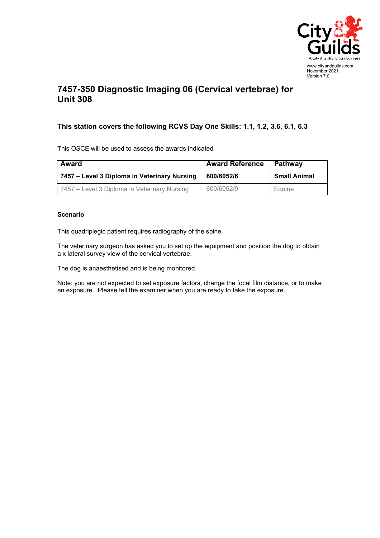

## **7457-350 Diagnostic Imaging 06 (Cervical vertebrae) for Unit 308**

## **This station covers the following RCVS Day One Skills: 1.1, 1.2, 3.6, 6.1, 6.3**

This OSCE will be used to assess the awards indicated

| Award                                        | <b>Award Reference</b> | ∣ Pathwav           |
|----------------------------------------------|------------------------|---------------------|
| 7457 - Level 3 Diploma in Veterinary Nursing | 600/6052/6             | <b>Small Animal</b> |
| 7457 – Level 3 Diploma in Veterinary Nursing | 600/6052/9             | Equine              |

## **Scenario**

This quadriplegic patient requires radiography of the spine.

The veterinary surgeon has asked you to set up the equipment and position the dog to obtain a x lateral survey view of the cervical vertebrae.

The dog is anaesthetised and is being monitored.

Note: you are not expected to set exposure factors, change the focal film distance, or to make an exposure. Please tell the examiner when you are ready to take the exposure.